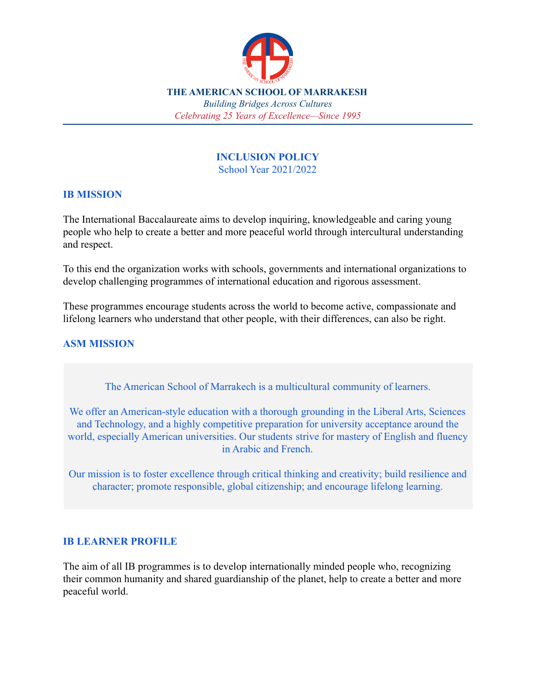

*Celebrating 25 Years of Excellence—Since 1995*

#### **INCLUSION POLICY** School Year 2021/2022

#### **IB MISSION**

The International Baccalaureate aims to develop inquiring, knowledgeable and caring young people who help to create a better and more peaceful world through intercultural understanding and respect.

To this end the organization works with schools, governments and international organizations to develop challenging programmes of international education and rigorous assessment.

These programmes encourage students across the world to become active, compassionate and lifelong learners who understand that other people, with their differences, can also be right.

### **ASM MISSION**

The American School of Marrakech is a multicultural community of learners.

We offer an American-style education with a thorough grounding in the Liberal Arts, Sciences and Technology, and a highly competitive preparation for university acceptance around the world, especially American universities. Our students strive for mastery of English and fluency in Arabic and French.

Our mission is to foster excellence through critical thinking and creativity; build resilience and character; promote responsible, global citizenship; and encourage lifelong learning.

#### **IB LEARNER PROFILE**

The aim of all IB programmes is to develop internationally minded people who, recognizing their common humanity and shared guardianship of the planet, help to create a better and more peaceful world.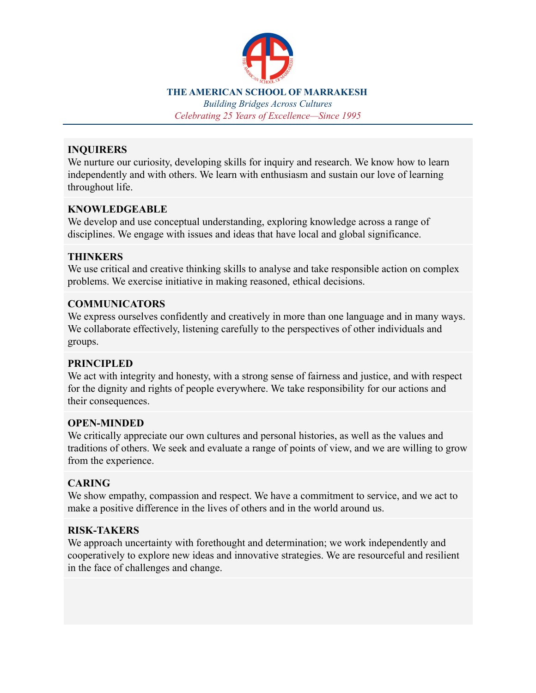

*Building Bridges Across Cultures Celebrating 25 Years of Excellence—Since 1995*

#### **INQUIRERS**

We nurture our curiosity, developing skills for inquiry and research. We know how to learn independently and with others. We learn with enthusiasm and sustain our love of learning throughout life.

## **KNOWLEDGEABLE**

We develop and use conceptual understanding, exploring knowledge across a range of disciplines. We engage with issues and ideas that have local and global significance.

### **THINKERS**

We use critical and creative thinking skills to analyse and take responsible action on complex problems. We exercise initiative in making reasoned, ethical decisions.

### **COMMUNICATORS**

We express ourselves confidently and creatively in more than one language and in many ways. We collaborate effectively, listening carefully to the perspectives of other individuals and groups.

#### **PRINCIPLED**

We act with integrity and honesty, with a strong sense of fairness and justice, and with respect for the dignity and rights of people everywhere. We take responsibility for our actions and their consequences.

#### **OPEN-MINDED**

We critically appreciate our own cultures and personal histories, as well as the values and traditions of others. We seek and evaluate a range of points of view, and we are willing to grow from the experience.

## **CARING**

We show empathy, compassion and respect. We have a commitment to service, and we act to make a positive difference in the lives of others and in the world around us.

## **RISK-TAKERS**

We approach uncertainty with forethought and determination; we work independently and cooperatively to explore new ideas and innovative strategies. We are resourceful and resilient in the face of challenges and change.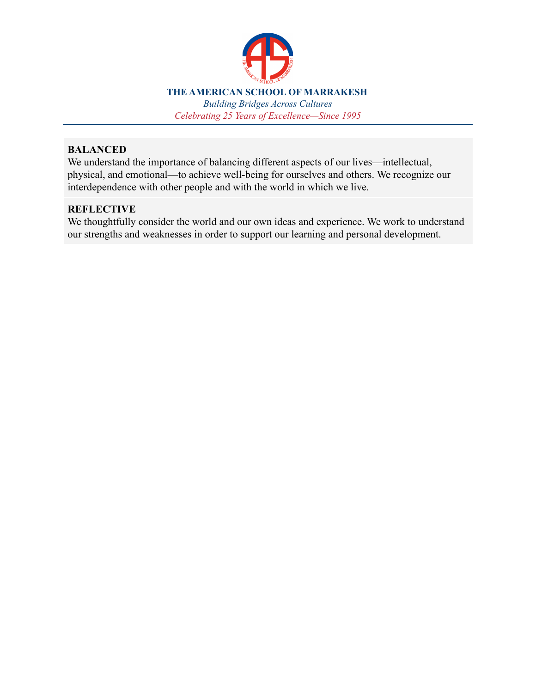

*Building Bridges Across Cultures Celebrating 25 Years of Excellence—Since 1995*

#### **BALANCED**

We understand the importance of balancing different aspects of our lives—intellectual, physical, and emotional—to achieve well-being for ourselves and others. We recognize our interdependence with other people and with the world in which we live.

# **REFLECTIVE**

We thoughtfully consider the world and our own ideas and experience. We work to understand our strengths and weaknesses in order to support our learning and personal development.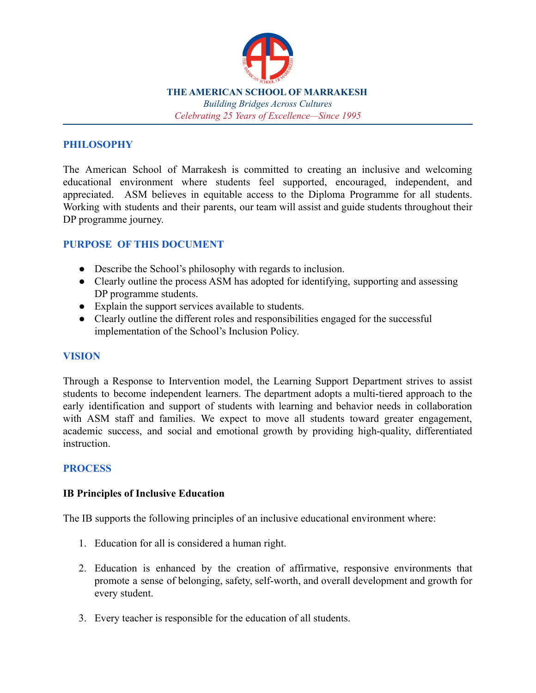

*Celebrating 25 Years of Excellence—Since 1995*

### **PHILOSOPHY**

The American School of Marrakesh is committed to creating an inclusive and welcoming educational environment where students feel supported, encouraged, independent, and appreciated. ASM believes in equitable access to the Diploma Programme for all students. Working with students and their parents, our team will assist and guide students throughout their DP programme journey.

### **PURPOSE OF THIS DOCUMENT**

- Describe the School's philosophy with regards to inclusion.
- Clearly outline the process ASM has adopted for identifying, supporting and assessing DP programme students.
- Explain the support services available to students.
- Clearly outline the different roles and responsibilities engaged for the successful implementation of the School's Inclusion Policy.

#### **VISION**

Through a Response to Intervention model, the Learning Support Department strives to assist students to become independent learners. The department adopts a multi-tiered approach to the early identification and support of students with learning and behavior needs in collaboration with ASM staff and families. We expect to move all students toward greater engagement, academic success, and social and emotional growth by providing high-quality, differentiated instruction.

#### **PROCESS**

#### **IB Principles of Inclusive Education**

The IB supports the following principles of an inclusive educational environment where:

- 1. Education for all is considered a human right.
- 2. Education is enhanced by the creation of affirmative, responsive environments that promote a sense of belonging, safety, self-worth, and overall development and growth for every student.
- 3. Every teacher is responsible for the education of all students.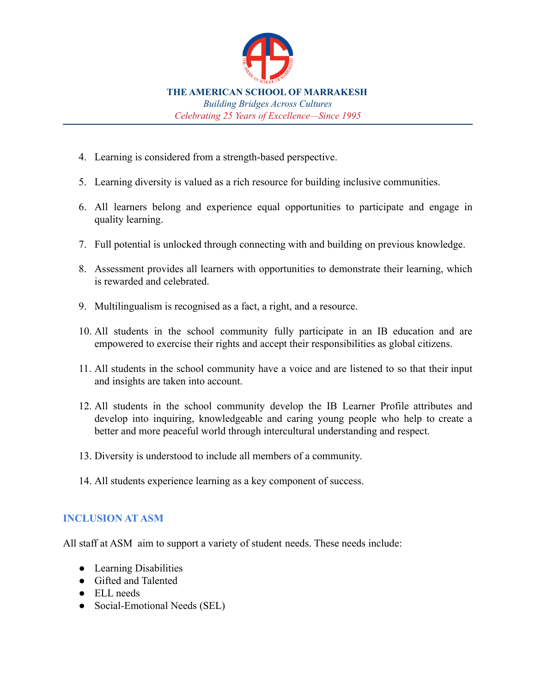

- 4. Learning is considered from a strength-based perspective.
- 5. Learning diversity is valued as a rich resource for building inclusive communities.
- 6. All learners belong and experience equal opportunities to participate and engage in quality learning.
- 7. Full potential is unlocked through connecting with and building on previous knowledge.
- 8. Assessment provides all learners with opportunities to demonstrate their learning, which is rewarded and celebrated.
- 9. Multilingualism is recognised as a fact, a right, and a resource.
- 10. All students in the school community fully participate in an IB education and are empowered to exercise their rights and accept their responsibilities as global citizens.
- 11. All students in the school community have a voice and are listened to so that their input and insights are taken into account.
- 12. All students in the school community develop the IB Learner Profile attributes and develop into inquiring, knowledgeable and caring young people who help to create a better and more peaceful world through intercultural understanding and respect.
- 13. Diversity is understood to include all members of a community.
- 14. All students experience learning as a key component of success.

#### **INCLUSION AT ASM**

All staff at ASM aim to support a variety of student needs. These needs include:

- Learning Disabilities
- Gifted and Talented
- ELL needs
- Social-Emotional Needs (SEL)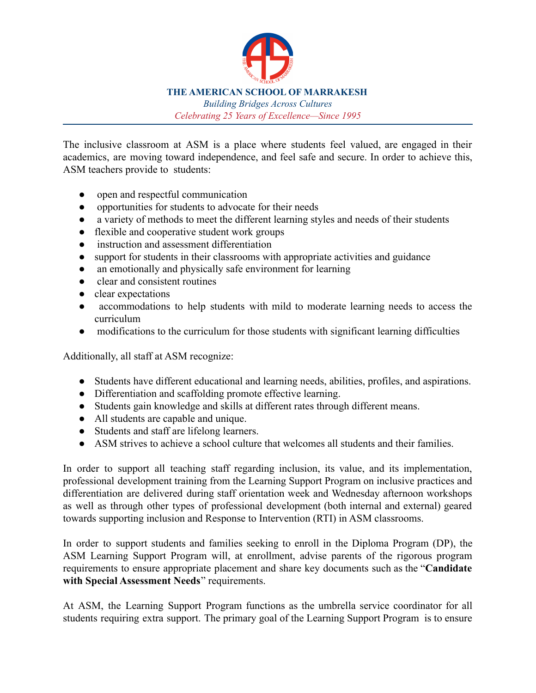

*Building Bridges Across Cultures Celebrating 25 Years of Excellence—Since 1995*

The inclusive classroom at ASM is a place where students feel valued, are engaged in their academics, are moving toward independence, and feel safe and secure. In order to achieve this, ASM teachers provide to students:

- open and respectful communication
- opportunities for students to advocate for their needs
- a variety of methods to meet the different learning styles and needs of their students
- flexible and cooperative student work groups
- instruction and assessment differentiation
- support for students in their classrooms with appropriate activities and guidance
- an emotionally and physically safe environment for learning
- clear and consistent routines
- clear expectations
- accommodations to help students with mild to moderate learning needs to access the curriculum
- modifications to the curriculum for those students with significant learning difficulties

Additionally, all staff at ASM recognize:

- Students have different educational and learning needs, abilities, profiles, and aspirations.
- Differentiation and scaffolding promote effective learning.
- Students gain knowledge and skills at different rates through different means.
- All students are capable and unique.
- Students and staff are lifelong learners.
- ASM strives to achieve a school culture that welcomes all students and their families.

In order to support all teaching staff regarding inclusion, its value, and its implementation, professional development training from the Learning Support Program on inclusive practices and differentiation are delivered during staff orientation week and Wednesday afternoon workshops as well as through other types of professional development (both internal and external) geared towards supporting inclusion and Response to Intervention (RTI) in ASM classrooms.

In order to support students and families seeking to enroll in the Diploma Program (DP), the ASM Learning Support Program will, at enrollment, advise parents of the rigorous program requirements to ensure appropriate placement and share key documents such as the "**Candidate with Special Assessment Needs**" requirements.

At ASM, the Learning Support Program functions as the umbrella service coordinator for all students requiring extra support. The primary goal of the Learning Support Program is to ensure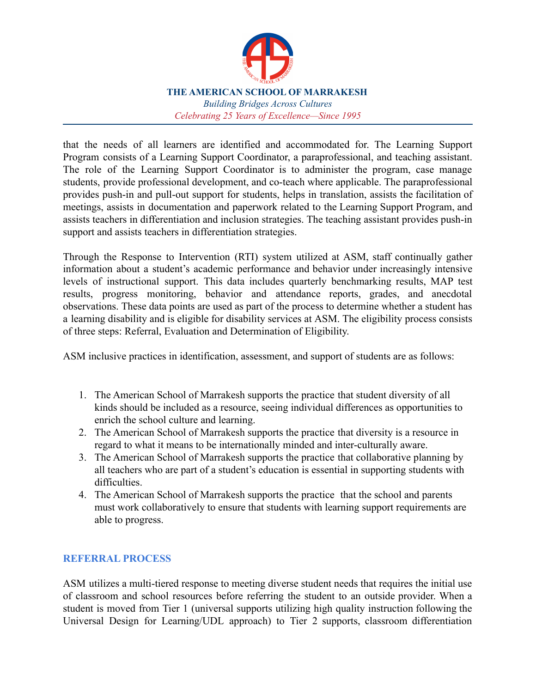

*Building Bridges Across Cultures Celebrating 25 Years of Excellence—Since 1995*

that the needs of all learners are identified and accommodated for. The Learning Support Program consists of a Learning Support Coordinator, a paraprofessional, and teaching assistant. The role of the Learning Support Coordinator is to administer the program, case manage students, provide professional development, and co-teach where applicable. The paraprofessional provides push-in and pull-out support for students, helps in translation, assists the facilitation of meetings, assists in documentation and paperwork related to the Learning Support Program, and assists teachers in differentiation and inclusion strategies. The teaching assistant provides push-in support and assists teachers in differentiation strategies.

Through the Response to Intervention (RTI) system utilized at ASM, staff continually gather information about a student's academic performance and behavior under increasingly intensive levels of instructional support. This data includes quarterly benchmarking results, MAP test results, progress monitoring, behavior and attendance reports, grades, and anecdotal observations. These data points are used as part of the process to determine whether a student has a learning disability and is eligible for disability services at ASM. The eligibility process consists of three steps: Referral, Evaluation and Determination of Eligibility.

ASM inclusive practices in identification, assessment, and support of students are as follows:

- 1. The American School of Marrakesh supports the practice that student diversity of all kinds should be included as a resource, seeing individual differences as opportunities to enrich the school culture and learning.
- 2. The American School of Marrakesh supports the practice that diversity is a resource in regard to what it means to be internationally minded and inter-culturally aware.
- 3. The American School of Marrakesh supports the practice that collaborative planning by all teachers who are part of a student's education is essential in supporting students with difficulties.
- 4. The American School of Marrakesh supports the practice that the school and parents must work collaboratively to ensure that students with learning support requirements are able to progress.

## **REFERRAL PROCESS**

ASM utilizes a multi-tiered response to meeting diverse student needs that requires the initial use of classroom and school resources before referring the student to an outside provider. When a student is moved from Tier 1 (universal supports utilizing high quality instruction following the Universal Design for Learning/UDL approach) to Tier 2 supports, classroom differentiation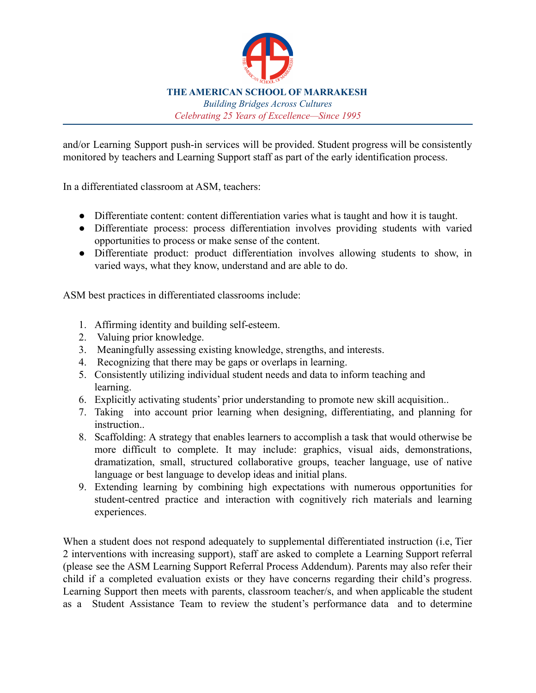

and/or Learning Support push-in services will be provided. Student progress will be consistently monitored by teachers and Learning Support staff as part of the early identification process.

In a differentiated classroom at ASM, teachers:

- Differentiate content: content differentiation varies what is taught and how it is taught.
- Differentiate process: process differentiation involves providing students with varied opportunities to process or make sense of the content.
- Differentiate product: product differentiation involves allowing students to show, in varied ways, what they know, understand and are able to do.

ASM best practices in differentiated classrooms include:

- 1. Affirming identity and building self-esteem.
- 2. Valuing prior knowledge.
- 3. Meaningfully assessing existing knowledge, strengths, and interests.
- 4. Recognizing that there may be gaps or overlaps in learning.
- 5. Consistently utilizing individual student needs and data to inform teaching and learning.
- 6. Explicitly activating students' prior understanding to promote new skill acquisition..
- 7. Taking into account prior learning when designing, differentiating, and planning for instruction..
- 8. Scaffolding: A strategy that enables learners to accomplish a task that would otherwise be more difficult to complete. It may include: graphics, visual aids, demonstrations, dramatization, small, structured collaborative groups, teacher language, use of native language or best language to develop ideas and initial plans.
- 9. Extending learning by combining high expectations with numerous opportunities for student-centred practice and interaction with cognitively rich materials and learning experiences.

When a student does not respond adequately to supplemental differentiated instruction (i.e, Tier 2 interventions with increasing support), staff are asked to complete a Learning Support referral (please see the ASM Learning Support Referral Process Addendum). Parents may also refer their child if a completed evaluation exists or they have concerns regarding their child's progress. Learning Support then meets with parents, classroom teacher/s, and when applicable the student as a Student Assistance Team to review the student's performance data and to determine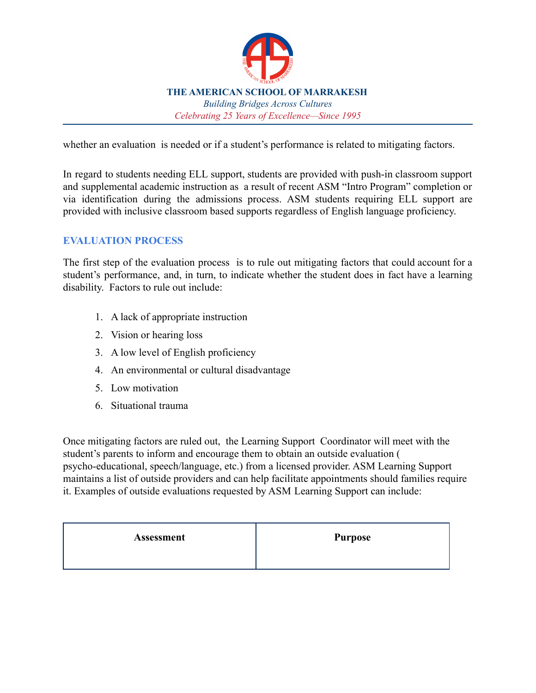

whether an evaluation is needed or if a student's performance is related to mitigating factors.

In regard to students needing ELL support, students are provided with push-in classroom support and supplemental academic instruction as a result of recent ASM "Intro Program" completion or via identification during the admissions process. ASM students requiring ELL support are provided with inclusive classroom based supports regardless of English language proficiency.

### **EVALUATION PROCESS**

The first step of the evaluation process is to rule out mitigating factors that could account for a student's performance, and, in turn, to indicate whether the student does in fact have a learning disability. Factors to rule out include:

- 1. A lack of appropriate instruction
- 2. Vision or hearing loss
- 3. A low level of English proficiency
- 4. An environmental or cultural disadvantage
- 5. Low motivation
- 6. Situational trauma

Once mitigating factors are ruled out, the Learning Support Coordinator will meet with the student's parents to inform and encourage them to obtain an outside evaluation ( psycho-educational, speech/language, etc.) from a licensed provider. ASM Learning Support maintains a list of outside providers and can help facilitate appointments should families require it. Examples of outside evaluations requested by ASM Learning Support can include:

| <b>Assessment</b> | Purpose |
|-------------------|---------|
|                   |         |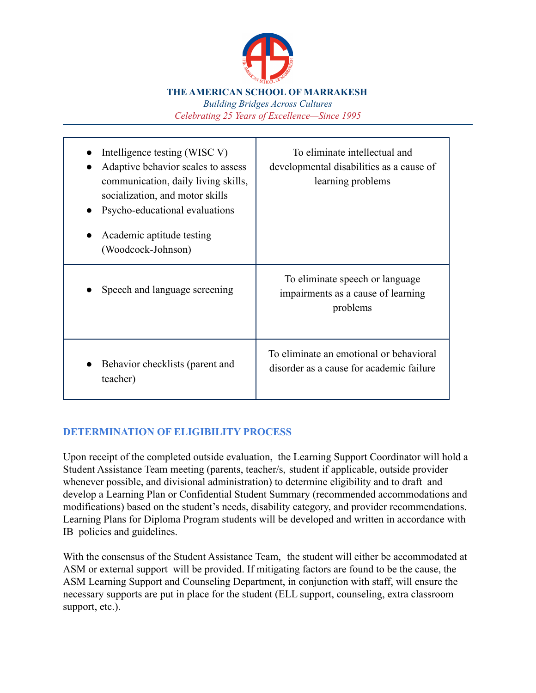

*Building Bridges Across Cultures Celebrating 25 Years of Excellence—Since 1995*

| Intelligence testing (WISC V)<br>Adaptive behavior scales to assess<br>communication, daily living skills,<br>socialization, and motor skills<br>Psycho-educational evaluations<br>Academic aptitude testing<br>(Woodcock-Johnson) | To eliminate intellectual and<br>developmental disabilities as a cause of<br>learning problems |
|------------------------------------------------------------------------------------------------------------------------------------------------------------------------------------------------------------------------------------|------------------------------------------------------------------------------------------------|
| Speech and language screening                                                                                                                                                                                                      | To eliminate speech or language<br>impairments as a cause of learning<br>problems              |
| Behavior checklists (parent and<br>teacher)                                                                                                                                                                                        | To eliminate an emotional or behavioral<br>disorder as a cause for academic failure            |

## **DETERMINATION OF ELIGIBILITY PROCESS**

Upon receipt of the completed outside evaluation, the Learning Support Coordinator will hold a Student Assistance Team meeting (parents, teacher/s, student if applicable, outside provider whenever possible, and divisional administration) to determine eligibility and to draft and develop a Learning Plan or Confidential Student Summary (recommended accommodations and modifications) based on the student's needs, disability category, and provider recommendations. Learning Plans for Diploma Program students will be developed and written in accordance with IB policies and guidelines.

With the consensus of the Student Assistance Team, the student will either be accommodated at ASM or external support will be provided. If mitigating factors are found to be the cause, the ASM Learning Support and Counseling Department, in conjunction with staff, will ensure the necessary supports are put in place for the student (ELL support, counseling, extra classroom support, etc.).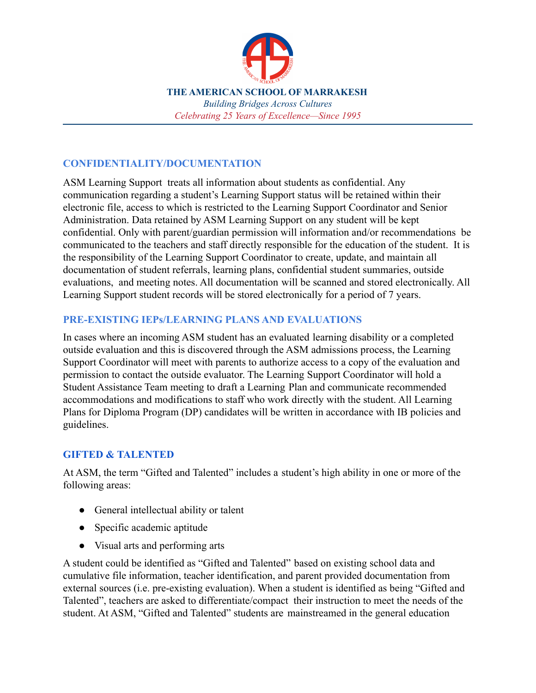

#### **CONFIDENTIALITY/DOCUMENTATION**

ASM Learning Support treats all information about students as confidential. Any communication regarding a student's Learning Support status will be retained within their electronic file, access to which is restricted to the Learning Support Coordinator and Senior Administration. Data retained by ASM Learning Support on any student will be kept confidential. Only with parent/guardian permission will information and/or recommendations be communicated to the teachers and staff directly responsible for the education of the student. It is the responsibility of the Learning Support Coordinator to create, update, and maintain all documentation of student referrals, learning plans, confidential student summaries, outside evaluations, and meeting notes. All documentation will be scanned and stored electronically. All Learning Support student records will be stored electronically for a period of 7 years.

#### **PRE-EXISTING IEPs/LEARNING PLANS AND EVALUATIONS**

In cases where an incoming ASM student has an evaluated learning disability or a completed outside evaluation and this is discovered through the ASM admissions process, the Learning Support Coordinator will meet with parents to authorize access to a copy of the evaluation and permission to contact the outside evaluator. The Learning Support Coordinator will hold a Student Assistance Team meeting to draft a Learning Plan and communicate recommended accommodations and modifications to staff who work directly with the student. All Learning Plans for Diploma Program (DP) candidates will be written in accordance with IB policies and guidelines.

#### **GIFTED & TALENTED**

At ASM, the term "Gifted and Talented" includes a student's high ability in one or more of the following areas:

- General intellectual ability or talent
- Specific academic aptitude
- Visual arts and performing arts

A student could be identified as "Gifted and Talented" based on existing school data and cumulative file information, teacher identification, and parent provided documentation from external sources (i.e. pre-existing evaluation). When a student is identified as being "Gifted and Talented", teachers are asked to differentiate/compact their instruction to meet the needs of the student. At ASM, "Gifted and Talented" students are mainstreamed in the general education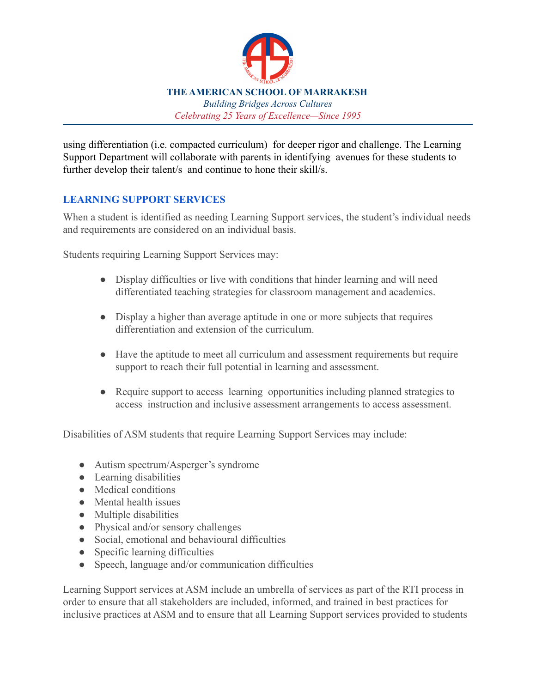

using differentiation (i.e. compacted curriculum) for deeper rigor and challenge. The Learning Support Department will collaborate with parents in identifying avenues for these students to further develop their talent/s and continue to hone their skill/s.

## **LEARNING SUPPORT SERVICES**

When a student is identified as needing Learning Support services, the student's individual needs and requirements are considered on an individual basis.

Students requiring Learning Support Services may:

- Display difficulties or live with conditions that hinder learning and will need differentiated teaching strategies for classroom management and academics.
- Display a higher than average aptitude in one or more subjects that requires differentiation and extension of the curriculum.
- Have the aptitude to meet all curriculum and assessment requirements but require support to reach their full potential in learning and assessment.
- Require support to access learning opportunities including planned strategies to access instruction and inclusive assessment arrangements to access assessment.

Disabilities of ASM students that require Learning Support Services may include:

- Autism spectrum/Asperger's syndrome
- Learning disabilities
- Medical conditions
- Mental health issues
- Multiple disabilities
- Physical and/or sensory challenges
- Social, emotional and behavioural difficulties
- Specific learning difficulties
- Speech, language and/or communication difficulties

Learning Support services at ASM include an umbrella of services as part of the RTI process in order to ensure that all stakeholders are included, informed, and trained in best practices for inclusive practices at ASM and to ensure that all Learning Support services provided to students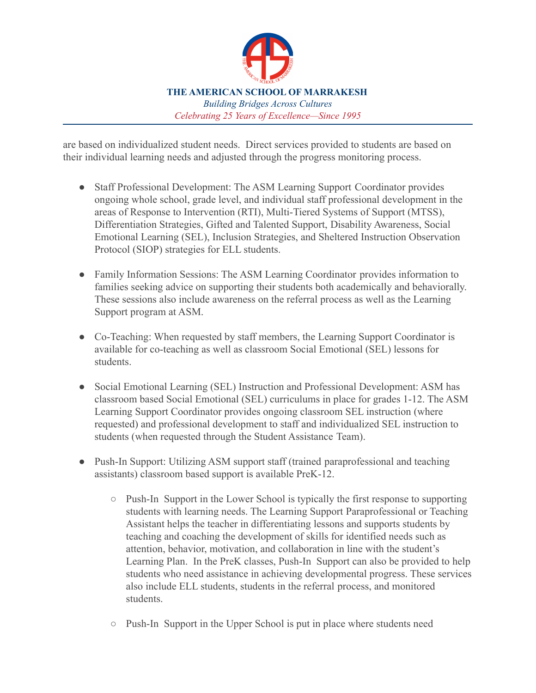

are based on individualized student needs. Direct services provided to students are based on their individual learning needs and adjusted through the progress monitoring process.

- Staff Professional Development: The ASM Learning Support Coordinator provides ongoing whole school, grade level, and individual staff professional development in the areas of Response to Intervention (RTI), Multi-Tiered Systems of Support (MTSS), Differentiation Strategies, Gifted and Talented Support, Disability Awareness, Social Emotional Learning (SEL), Inclusion Strategies, and Sheltered Instruction Observation Protocol (SIOP) strategies for ELL students.
- Family Information Sessions: The ASM Learning Coordinator provides information to families seeking advice on supporting their students both academically and behaviorally. These sessions also include awareness on the referral process as well as the Learning Support program at ASM.
- Co-Teaching: When requested by staff members, the Learning Support Coordinator is available for co-teaching as well as classroom Social Emotional (SEL) lessons for students.
- Social Emotional Learning (SEL) Instruction and Professional Development: ASM has classroom based Social Emotional (SEL) curriculums in place for grades 1-12. The ASM Learning Support Coordinator provides ongoing classroom SEL instruction (where requested) and professional development to staff and individualized SEL instruction to students (when requested through the Student Assistance Team).
- Push-In Support: Utilizing ASM support staff (trained paraprofessional and teaching assistants) classroom based support is available PreK-12.
	- Push-In Support in the Lower School is typically the first response to supporting students with learning needs. The Learning Support Paraprofessional or Teaching Assistant helps the teacher in differentiating lessons and supports students by teaching and coaching the development of skills for identified needs such as attention, behavior, motivation, and collaboration in line with the student's Learning Plan. In the PreK classes, Push-In Support can also be provided to help students who need assistance in achieving developmental progress. These services also include ELL students, students in the referral process, and monitored students.
	- Push-In Support in the Upper School is put in place where students need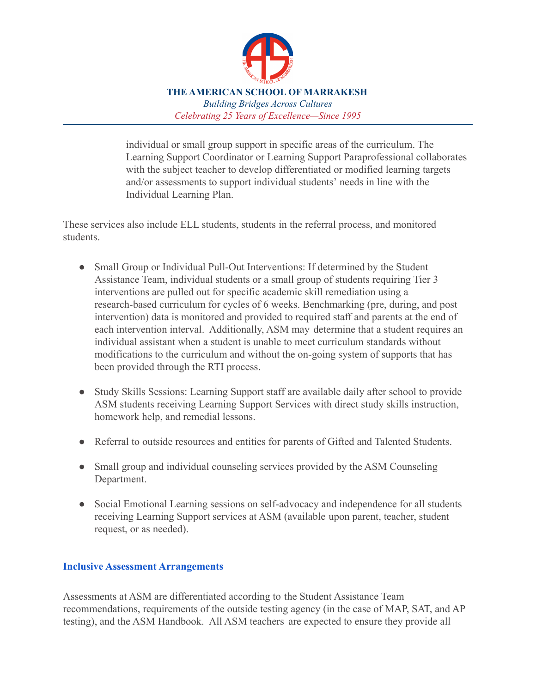

individual or small group support in specific areas of the curriculum. The Learning Support Coordinator or Learning Support Paraprofessional collaborates with the subject teacher to develop differentiated or modified learning targets and/or assessments to support individual students' needs in line with the Individual Learning Plan.

These services also include ELL students, students in the referral process, and monitored students.

- Small Group or Individual Pull-Out Interventions: If determined by the Student Assistance Team, individual students or a small group of students requiring Tier 3 interventions are pulled out for specific academic skill remediation using a research-based curriculum for cycles of 6 weeks. Benchmarking (pre, during, and post intervention) data is monitored and provided to required staff and parents at the end of each intervention interval. Additionally, ASM may determine that a student requires an individual assistant when a student is unable to meet curriculum standards without modifications to the curriculum and without the on-going system of supports that has been provided through the RTI process.
- Study Skills Sessions: Learning Support staff are available daily after school to provide ASM students receiving Learning Support Services with direct study skills instruction, homework help, and remedial lessons.
- Referral to outside resources and entities for parents of Gifted and Talented Students.
- Small group and individual counseling services provided by the ASM Counseling Department.
- Social Emotional Learning sessions on self-advocacy and independence for all students receiving Learning Support services at ASM (available upon parent, teacher, student request, or as needed).

#### **Inclusive Assessment Arrangements**

Assessments at ASM are differentiated according to the Student Assistance Team recommendations, requirements of the outside testing agency (in the case of MAP, SAT, and AP testing), and the ASM Handbook. All ASM teachers are expected to ensure they provide all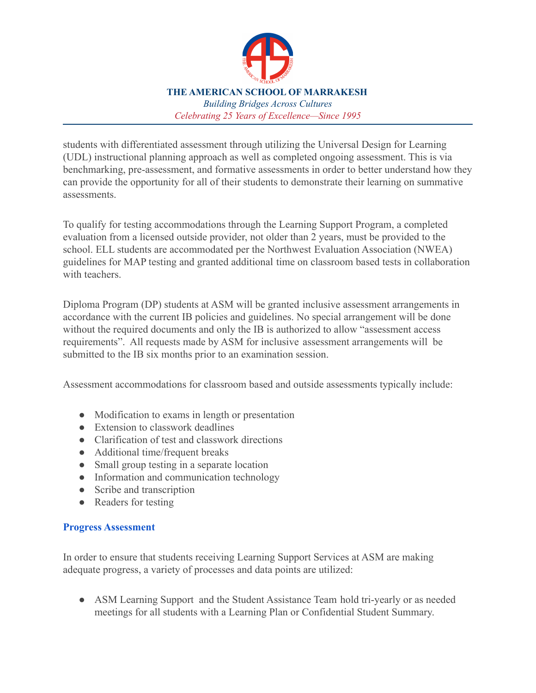

students with differentiated assessment through utilizing the Universal Design for Learning (UDL) instructional planning approach as well as completed ongoing assessment. This is via benchmarking, pre-assessment, and formative assessments in order to better understand how they can provide the opportunity for all of their students to demonstrate their learning on summative assessments.

To qualify for testing accommodations through the Learning Support Program, a completed evaluation from a licensed outside provider, not older than 2 years, must be provided to the school. ELL students are accommodated per the Northwest Evaluation Association (NWEA) guidelines for MAP testing and granted additional time on classroom based tests in collaboration with teachers.

Diploma Program (DP) students at ASM will be granted inclusive assessment arrangements in accordance with the current IB policies and guidelines. No special arrangement will be done without the required documents and only the IB is authorized to allow "assessment access" requirements". All requests made by ASM for inclusive assessment arrangements will be submitted to the IB six months prior to an examination session.

Assessment accommodations for classroom based and outside assessments typically include:

- Modification to exams in length or presentation
- Extension to classwork deadlines
- Clarification of test and classwork directions
- Additional time/frequent breaks
- Small group testing in a separate location
- Information and communication technology
- Scribe and transcription
- Readers for testing

#### **Progress Assessment**

In order to ensure that students receiving Learning Support Services at ASM are making adequate progress, a variety of processes and data points are utilized:

• ASM Learning Support and the Student Assistance Team hold tri-yearly or as needed meetings for all students with a Learning Plan or Confidential Student Summary.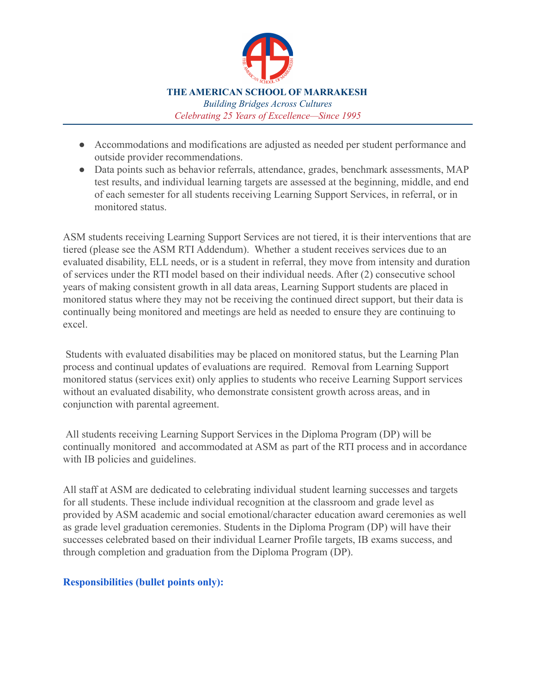

- Accommodations and modifications are adjusted as needed per student performance and outside provider recommendations.
- Data points such as behavior referrals, attendance, grades, benchmark assessments, MAP test results, and individual learning targets are assessed at the beginning, middle, and end of each semester for all students receiving Learning Support Services, in referral, or in monitored status.

ASM students receiving Learning Support Services are not tiered, it is their interventions that are tiered (please see the ASM RTI Addendum). Whether a student receives services due to an evaluated disability, ELL needs, or is a student in referral, they move from intensity and duration of services under the RTI model based on their individual needs. After (2) consecutive school years of making consistent growth in all data areas, Learning Support students are placed in monitored status where they may not be receiving the continued direct support, but their data is continually being monitored and meetings are held as needed to ensure they are continuing to excel.

Students with evaluated disabilities may be placed on monitored status, but the Learning Plan process and continual updates of evaluations are required. Removal from Learning Support monitored status (services exit) only applies to students who receive Learning Support services without an evaluated disability, who demonstrate consistent growth across areas, and in conjunction with parental agreement.

All students receiving Learning Support Services in the Diploma Program (DP) will be continually monitored and accommodated at ASM as part of the RTI process and in accordance with IB policies and guidelines.

All staff at ASM are dedicated to celebrating individual student learning successes and targets for all students. These include individual recognition at the classroom and grade level as provided by ASM academic and social emotional/character education award ceremonies as well as grade level graduation ceremonies. Students in the Diploma Program (DP) will have their successes celebrated based on their individual Learner Profile targets, IB exams success, and through completion and graduation from the Diploma Program (DP).

#### **Responsibilities (bullet points only):**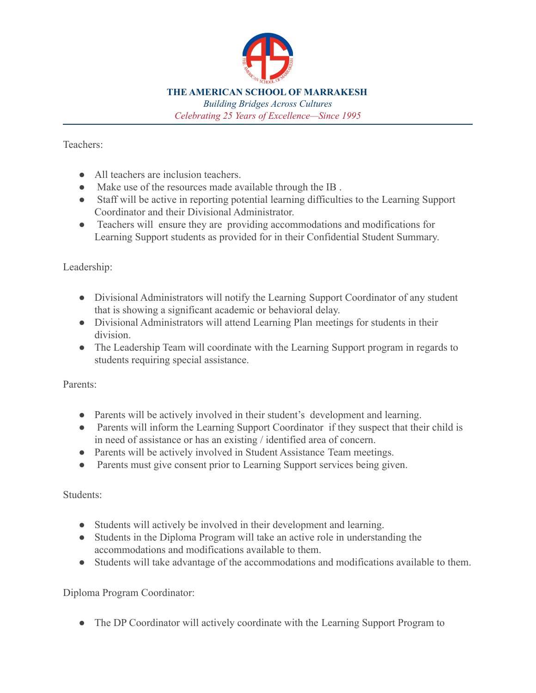

*Building Bridges Across Cultures Celebrating 25 Years of Excellence—Since 1995*

Teachers:

- All teachers are inclusion teachers.
- Make use of the resources made available through the IB.
- Staff will be active in reporting potential learning difficulties to the Learning Support Coordinator and their Divisional Administrator.
- Teachers will ensure they are providing accommodations and modifications for Learning Support students as provided for in their Confidential Student Summary.

Leadership:

- Divisional Administrators will notify the Learning Support Coordinator of any student that is showing a significant academic or behavioral delay.
- Divisional Administrators will attend Learning Plan meetings for students in their division.
- The Leadership Team will coordinate with the Learning Support program in regards to students requiring special assistance.

Parents:

- Parents will be actively involved in their student's development and learning.
- Parents will inform the Learning Support Coordinator if they suspect that their child is in need of assistance or has an existing / identified area of concern.
- Parents will be actively involved in Student Assistance Team meetings.
- Parents must give consent prior to Learning Support services being given.

Students:

- Students will actively be involved in their development and learning.
- Students in the Diploma Program will take an active role in understanding the accommodations and modifications available to them.
- Students will take advantage of the accommodations and modifications available to them.

Diploma Program Coordinator:

• The DP Coordinator will actively coordinate with the Learning Support Program to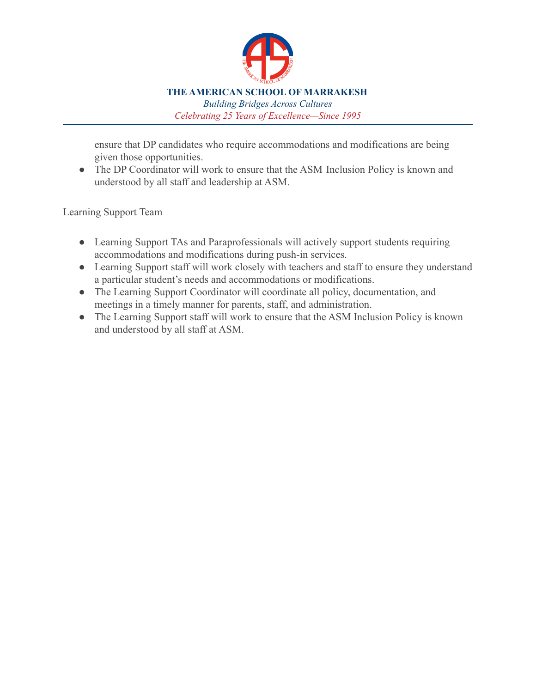

ensure that DP candidates who require accommodations and modifications are being given those opportunities.

• The DP Coordinator will work to ensure that the ASM Inclusion Policy is known and understood by all staff and leadership at ASM.

Learning Support Team

- Learning Support TAs and Paraprofessionals will actively support students requiring accommodations and modifications during push-in services.
- Learning Support staff will work closely with teachers and staff to ensure they understand a particular student's needs and accommodations or modifications.
- The Learning Support Coordinator will coordinate all policy, documentation, and meetings in a timely manner for parents, staff, and administration.
- The Learning Support staff will work to ensure that the ASM Inclusion Policy is known and understood by all staff at ASM.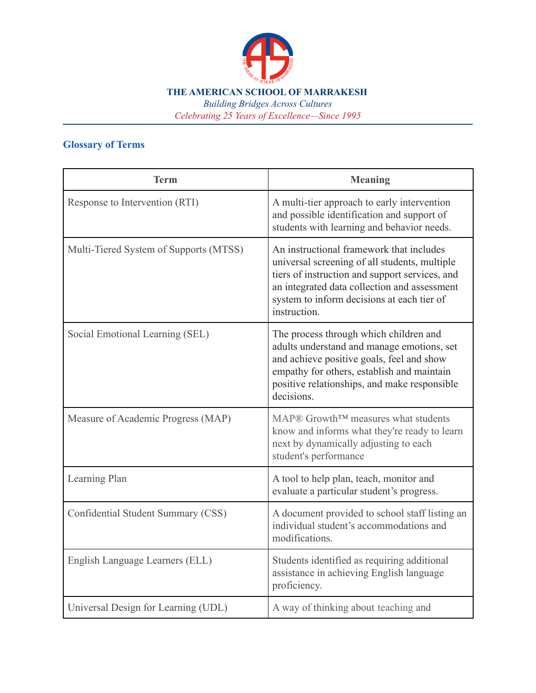

*Building Bridges Across Cultures Celebrating 25 Years of Excellence—Since 1995*

# **Glossary of Terms**

| <b>Term</b>                            | <b>Meaning</b>                                                                                                                                                                                                                                            |
|----------------------------------------|-----------------------------------------------------------------------------------------------------------------------------------------------------------------------------------------------------------------------------------------------------------|
| Response to Intervention (RTI)         | A multi-tier approach to early intervention<br>and possible identification and support of<br>students with learning and behavior needs.                                                                                                                   |
| Multi-Tiered System of Supports (MTSS) | An instructional framework that includes<br>universal screening of all students, multiple<br>tiers of instruction and support services, and<br>an integrated data collection and assessment<br>system to inform decisions at each tier of<br>instruction. |
| Social Emotional Learning (SEL)        | The process through which children and<br>adults understand and manage emotions, set<br>and achieve positive goals, feel and show<br>empathy for others, establish and maintain<br>positive relationships, and make responsible<br>decisions.             |
| Measure of Academic Progress (MAP)     | MAP® Growth™ measures what students<br>know and informs what they're ready to learn<br>next by dynamically adjusting to each<br>student's performance                                                                                                     |
| Learning Plan                          | A tool to help plan, teach, monitor and<br>evaluate a particular student's progress.                                                                                                                                                                      |
| Confidential Student Summary (CSS)     | A document provided to school staff listing an<br>individual student's accommodations and<br>modifications.                                                                                                                                               |
| English Language Learners (ELL)        | Students identified as requiring additional<br>assistance in achieving English language<br>proficiency.                                                                                                                                                   |
| Universal Design for Learning (UDL)    | A way of thinking about teaching and                                                                                                                                                                                                                      |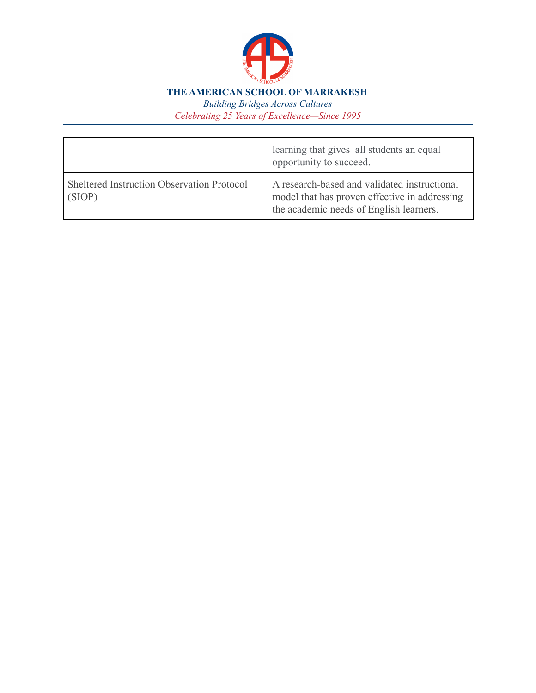

*Building Bridges Across Cultures Celebrating 25 Years of Excellence—Since 1995*

|                                                      | learning that gives all students an equal<br>opportunity to succeed.                                                                     |
|------------------------------------------------------|------------------------------------------------------------------------------------------------------------------------------------------|
| Sheltered Instruction Observation Protocol<br>(SIOP) | A research-based and validated instructional<br>model that has proven effective in addressing<br>the academic needs of English learners. |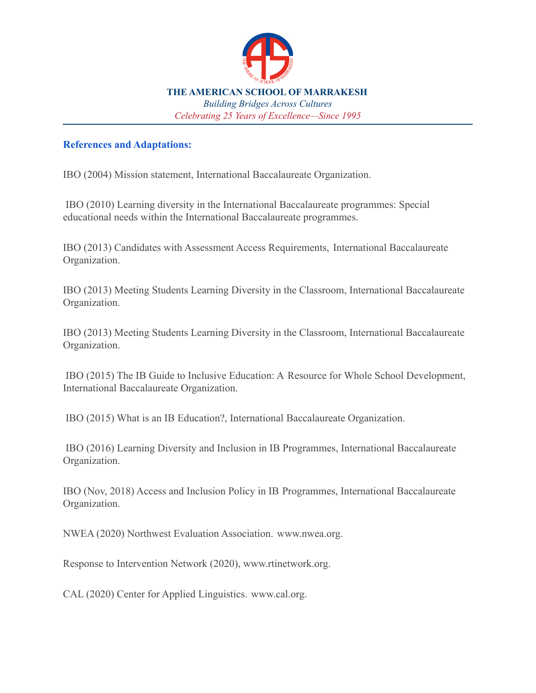

#### **References and Adaptations:**

IBO (2004) Mission statement, International Baccalaureate Organization.

IBO (2010) Learning diversity in the International Baccalaureate programmes: Special educational needs within the International Baccalaureate programmes.

IBO (2013) Candidates with Assessment Access Requirements, International Baccalaureate Organization.

IBO (2013) Meeting Students Learning Diversity in the Classroom, International Baccalaureate Organization.

IBO (2013) Meeting Students Learning Diversity in the Classroom, International Baccalaureate Organization.

IBO (2015) The IB Guide to Inclusive Education: A Resource for Whole School Development, International Baccalaureate Organization.

IBO (2015) What is an IB Education?, International Baccalaureate Organization.

IBO (2016) Learning Diversity and Inclusion in IB Programmes, International Baccalaureate Organization.

IBO (Nov, 2018) Access and Inclusion Policy in IB Programmes, International Baccalaureate Organization.

NWEA (2020) Northwest Evaluation Association. [www.nwea.org.](http://www.nwea.org)

Response to Intervention Network (2020), [www.rtinetwork.org.](http://www.rtinetwork.org)

CAL (2020) Center for Applied Linguistics. [www.cal.org.](http://www.cal.org)